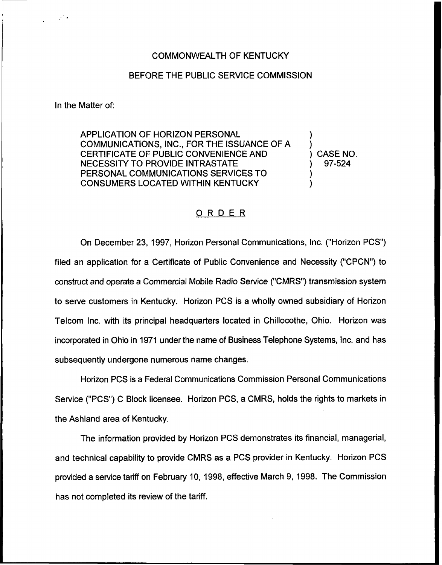## COMMONWEALTH OF KENTUCKY

## BEFORE THE PUBLIC SERVICE COMMISSION

In the Matter of:

APPLICATION OF HORIZON PERSONAL COMMUNICATIONS, INC., FOR THE ISSUANCE OF A CERTIFICATE OF PUBLIC CONVENIENCE AND NECESSITY TO PROVIDE INTRASTATE PERSONAL COMMUNICATIONS SERVICES TO CONSUMERS LOCATED WITHIN KENTUCKY

) ) CASE NO. ) 97-524 )

)

)

## ORDER

On December 23, 1997, Horizon Personal Communications, Inc. ("Horizon PCS") filed an application for a Certificate of Public Convenience and Necessity ("CPCN") to construct and operate a Commercial Mobile Radio Service ("CMRS") transmission system to serve customers in Kentucky. Horizon PCS is a wholly owned subsidiary of Horizon Telcom Inc. with its principal headquarters located in Chillocothe, Ohio. Horizon was incorporated in Ohio in 1971 under the name of Business Telephone Systems, Inc. and has subsequently undergone numerous name changes.

Horizon PCS is a Federal Communications Commission Personal Communications Service ("PCS") C Block licensee. Horizon PCS, a CMRS, holds the rights to markets in the Ashland area of Kentucky.

The information provided by Horizon PCS demonstrates its financial, managerial, and technical capability to provide CMRS as a PCS provider in Kentucky. Horizon PCS provided a service tariff on February 10, 1998, effective March 9, 1998. The Commission has not completed its review of the tariff.